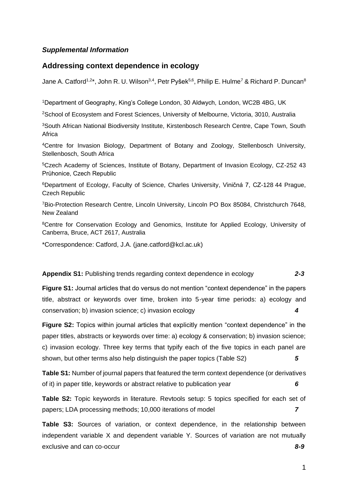# *Supplemental Information*

## **Addressing context dependence in ecology**

Jane A. Catford $^{1,2*}$ , John R. U. Wilson $^{3,4}$ , Petr Pyšek $^{5,6}$ , Philip E. Hulme $^7$  & Richard P. Duncan $^8$ 

<sup>1</sup>Department of Geography, King's College London, 30 Aldwych, London, WC2B 4BG, UK

<sup>2</sup>School of Ecosystem and Forest Sciences, University of Melbourne, Victoria, 3010, Australia

<sup>3</sup>South African National Biodiversity Institute, Kirstenbosch Research Centre, Cape Town, South Africa

<sup>4</sup>Centre for Invasion Biology, Department of Botany and Zoology, Stellenbosch University, Stellenbosch, South Africa

<sup>5</sup>Czech Academy of Sciences, Institute of Botany, Department of Invasion Ecology, CZ-252 43 Průhonice, Czech Republic

<sup>6</sup>Department of Ecology, Faculty of Science, Charles University, Viničná 7, CZ-128 44 Prague, Czech Republic

<sup>7</sup>Bio-Protection Research Centre, Lincoln University, Lincoln PO Box 85084, Christchurch 7648, New Zealand

<sup>8</sup>Centre for Conservation Ecology and Genomics, Institute for Applied Ecology, University of Canberra, Bruce, ACT 2617, Australia

\*Correspondence: Catford, J.A. (jane.catford@kcl.ac.uk)

## **Appendix S1:** Publishing trends regarding context dependence in ecology *2-3*

**Figure S1:** Journal articles that do versus do not mention "context dependence" in the papers title, abstract or keywords over time, broken into 5-year time periods: a) ecology and conservation; b) invasion science; c) invasion ecology *4*

**Figure S2:** Topics within journal articles that explicitly mention "context dependence" in the paper titles, abstracts or keywords over time: a) ecology & conservation; b) invasion science; c) invasion ecology. Three key terms that typify each of the five topics in each panel are shown, but other terms also help distinguish the paper topics (Table S2) *5*

**Table S1:** Number of journal papers that featured the term context dependence (or derivatives of it) in paper title, keywords or abstract relative to publication year *6*

**Table S2:** Topic keywords in literature. Revtools setup: 5 topics specified for each set of papers; LDA processing methods; 10,000 iterations of model *7*

**Table S3:** Sources of variation, or context dependence, in the relationship between independent variable X and dependent variable Y. Sources of variation are not mutually exclusive and can co-occur *8-9*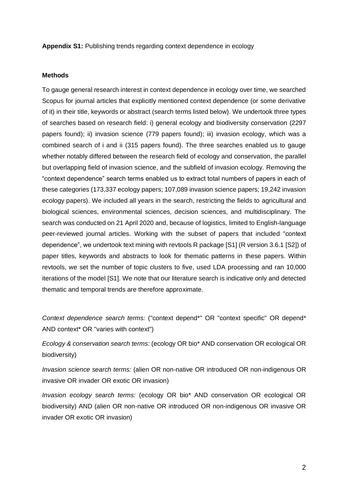**Appendix S1:** Publishing trends regarding context dependence in ecology

#### **Methods**

To gauge general research interest in context dependence in ecology over time, we searched Scopus for journal articles that explicitly mentioned context dependence (or some derivative of it) in their title, keywords or abstract (search terms listed below). We undertook three types of searches based on research field: i) general ecology and biodiversity conservation (2297 papers found); ii) invasion science (779 papers found); iii) invasion ecology, which was a combined search of i and ii (315 papers found). The three searches enabled us to gauge whether notably differed between the research field of ecology and conservation, the parallel but overlapping field of invasion science, and the subfield of invasion ecology. Removing the "context dependence" search terms enabled us to extract total numbers of papers in each of these categories (173,337 ecology papers; 107,089 invasion science papers; 19,242 invasion ecology papers). We included all years in the search, restricting the fields to agricultural and biological sciences, environmental sciences, decision sciences, and multidisciplinary. The search was conducted on 21 April 2020 and, because of logistics, limited to English-language peer-reviewed journal articles. Working with the subset of papers that included "context dependence", we undertook text mining with revtools R package [S1] (R version 3.6.1 [S2]) of paper titles, keywords and abstracts to look for thematic patterns in these papers. Within revtools, we set the number of topic clusters to five, used LDA processing and ran 10,000 iterations of the model [S1]. We note that our literature search is indicative only and detected thematic and temporal trends are therefore approximate.

*Context dependence search terms:* ("context depend\*" OR "context specific" OR depend\* AND context\* OR "varies with context")

*Ecology & conservation search terms:* (ecology OR bio\* AND conservation OR ecological OR biodiversity)

*Invasion science search terms:* (alien OR non-native OR introduced OR non-indigenous OR invasive OR invader OR exotic OR invasion)

*Invasion ecology search terms:* (ecology OR bio\* AND conservation OR ecological OR biodiversity) AND (alien OR non-native OR introduced OR non-indigenous OR invasive OR invader OR exotic OR invasion)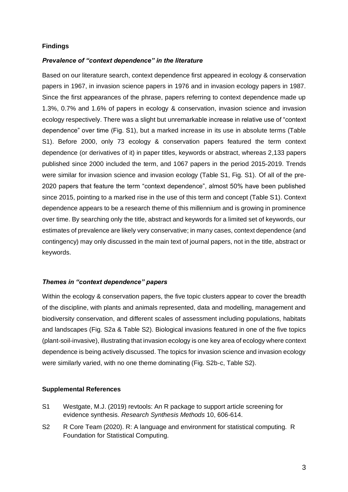## **Findings**

## *Prevalence of "context dependence" in the literature*

Based on our literature search, context dependence first appeared in ecology & conservation papers in 1967, in invasion science papers in 1976 and in invasion ecology papers in 1987. Since the first appearances of the phrase, papers referring to context dependence made up 1.3%, 0.7% and 1.6% of papers in ecology & conservation, invasion science and invasion ecology respectively. There was a slight but unremarkable increase in relative use of "context dependence" over time (Fig. S1), but a marked increase in its use in absolute terms (Table S1). Before 2000, only 73 ecology & conservation papers featured the term context dependence (or derivatives of it) in paper titles, keywords or abstract, whereas 2,133 papers published since 2000 included the term, and 1067 papers in the period 2015-2019. Trends were similar for invasion science and invasion ecology (Table S1, Fig. S1). Of all of the pre-2020 papers that feature the term "context dependence", almost 50% have been published since 2015, pointing to a marked rise in the use of this term and concept (Table S1). Context dependence appears to be a research theme of this millennium and is growing in prominence over time. By searching only the title, abstract and keywords for a limited set of keywords, our estimates of prevalence are likely very conservative; in many cases, context dependence (and contingency) may only discussed in the main text of journal papers, not in the title, abstract or keywords.

#### *Themes in "context dependence" papers*

Within the ecology & conservation papers, the five topic clusters appear to cover the breadth of the discipline, with plants and animals represented, data and modelling, management and biodiversity conservation, and different scales of assessment including populations, habitats and landscapes (Fig. S2a & Table S2). Biological invasions featured in one of the five topics (plant-soil-invasive), illustrating that invasion ecology is one key area of ecology where context dependence is being actively discussed. The topics for invasion science and invasion ecology were similarly varied, with no one theme dominating (Fig. S2b-c, Table S2).

### **Supplemental References**

- S1 Westgate, M.J. (2019) revtools: An R package to support article screening for evidence synthesis. *Research Synthesis Methods* 10, 606-614.
- S2 R Core Team (2020). R: A language and environment for statistical computing. R Foundation for Statistical Computing.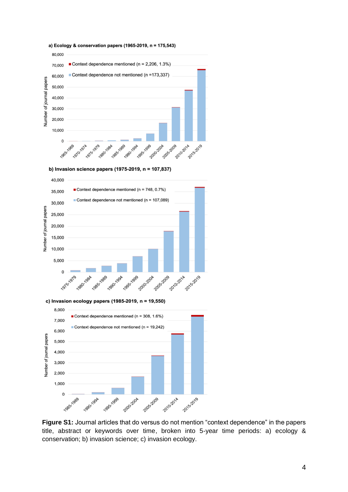

b) Invasion science papers (1975-2019,  $n = 107,837$ )



c) Invasion ecology papers (1985-2019,  $n = 19,550$ )



**Figure S1:** Journal articles that do versus do not mention "context dependence" in the papers title, abstract or keywords over time, broken into 5-year time periods: a) ecology & conservation; b) invasion science; c) invasion ecology.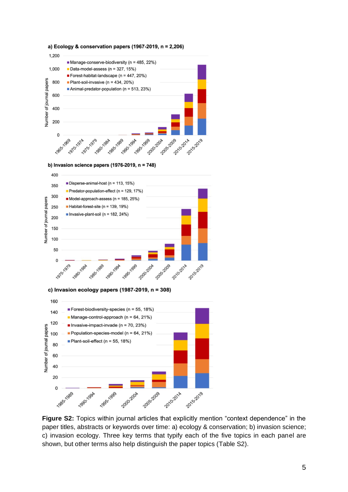



c) Invasion ecology papers (1987-2019,  $n = 308$ )



**Figure S2:** Topics within journal articles that explicitly mention "context dependence" in the paper titles, abstracts or keywords over time: a) ecology & conservation; b) invasion science; c) invasion ecology. Three key terms that typify each of the five topics in each panel are shown, but other terms also help distinguish the paper topics (Table S2).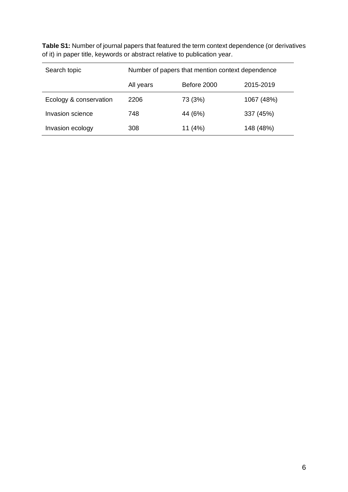| Search topic           | Number of papers that mention context dependence |             |            |
|------------------------|--------------------------------------------------|-------------|------------|
|                        | All years                                        | Before 2000 | 2015-2019  |
| Ecology & conservation | 2206                                             | 73 (3%)     | 1067 (48%) |
| Invasion science       | 748                                              | 44 (6%)     | 337 (45%)  |
| Invasion ecology       | 308                                              | 11 $(4%)$   | 148 (48%)  |

**Table S1:** Number of journal papers that featured the term context dependence (or derivatives of it) in paper title, keywords or abstract relative to publication year.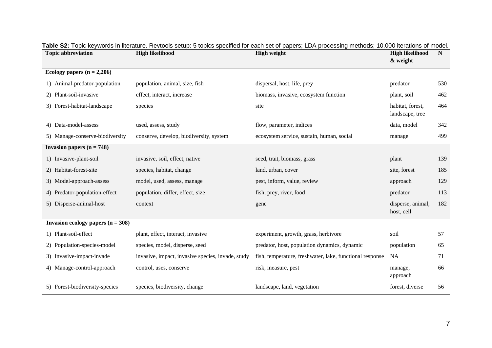| <b>Topic abbreviation</b>           | <b>High likelihood</b>                            | <b>High weight</b>                                       | <b>High likelihood</b>              | N   |
|-------------------------------------|---------------------------------------------------|----------------------------------------------------------|-------------------------------------|-----|
|                                     |                                                   |                                                          | & weight                            |     |
| Ecology papers $(n = 2,206)$        |                                                   |                                                          |                                     |     |
| 1) Animal-predator-population       | population, animal, size, fish                    | dispersal, host, life, prey                              | predator                            | 530 |
| 2) Plant-soil-invasive              | effect, interact, increase                        | biomass, invasive, ecosystem function                    | plant, soil                         | 462 |
| 3) Forest-habitat-landscape         | species                                           | site                                                     | habitat, forest,<br>landscape, tree | 464 |
| 4) Data-model-assess                | used, assess, study                               | flow, parameter, indices                                 | data, model                         | 342 |
| 5) Manage-conserve-biodiversity     | conserve, develop, biodiversity, system           | ecosystem service, sustain, human, social                | manage                              | 499 |
| Invasion papers $(n = 748)$         |                                                   |                                                          |                                     |     |
| 1) Invasive-plant-soil              | invasive, soil, effect, native                    | seed, trait, biomass, grass                              | plant                               | 139 |
| 2) Habitat-forest-site              | species, habitat, change                          | land, urban, cover                                       | site, forest                        | 185 |
| 3) Model-approach-assess            | model, used, assess, manage                       | pest, inform, value, review                              | approach                            | 129 |
| 4) Predator-population-effect       | population, differ, effect, size                  | fish, prey, river, food                                  | predator                            | 113 |
| 5) Disperse-animal-host             | context                                           | gene                                                     | disperse, animal,<br>host, cell     | 182 |
| Invasion ecology papers $(n = 308)$ |                                                   |                                                          |                                     |     |
| 1) Plant-soil-effect                | plant, effect, interact, invasive                 | experiment, growth, grass, herbivore                     | soil                                | 57  |
| 2) Population-species-model         | species, model, disperse, seed                    | predator, host, population dynamics, dynamic             | population                          | 65  |
| 3) Invasive-impact-invade           | invasive, impact, invasive species, invade, study | fish, temperature, freshwater, lake, functional response | <b>NA</b>                           | 71  |
| 4) Manage-control-approach          | control, uses, conserve                           | risk, measure, pest                                      | manage,<br>approach                 | 66  |
| 5) Forest-biodiversity-species      | species, biodiversity, change                     | landscape, land, vegetation                              | forest, diverse                     | 56  |

|  |  | Table S2: Topic keywords in literature. Revtools setup: 5 topics specified for each set of papers; LDA processing methods; 10,000 iterations of model. |
|--|--|--------------------------------------------------------------------------------------------------------------------------------------------------------|
|  |  |                                                                                                                                                        |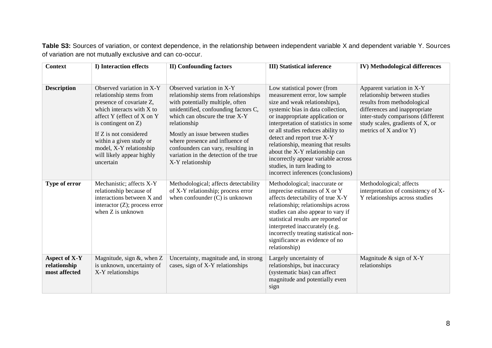**Table S3:** Sources of variation, or context dependence, in the relationship between independent variable X and dependent variable Y. Sources of variation are not mutually exclusive and can co-occur.

| <b>Context</b>                                 | I) Interaction effects                                                                                                                                                                                                                                                                          | <b>II)</b> Confounding factors                                                                                                                                                                                                                                                                                                                                             | <b>III)</b> Statistical inference                                                                                                                                                                                                                                                                                                                                                                                                                                   | <b>IV)</b> Methodological differences                                                                                                                                                                                              |
|------------------------------------------------|-------------------------------------------------------------------------------------------------------------------------------------------------------------------------------------------------------------------------------------------------------------------------------------------------|----------------------------------------------------------------------------------------------------------------------------------------------------------------------------------------------------------------------------------------------------------------------------------------------------------------------------------------------------------------------------|---------------------------------------------------------------------------------------------------------------------------------------------------------------------------------------------------------------------------------------------------------------------------------------------------------------------------------------------------------------------------------------------------------------------------------------------------------------------|------------------------------------------------------------------------------------------------------------------------------------------------------------------------------------------------------------------------------------|
| <b>Description</b>                             | Observed variation in X-Y<br>relationship stems from<br>presence of covariate Z,<br>which interacts with X to<br>affect Y (effect of X on Y<br>is contingent on $Z$ )<br>If Z is not considered<br>within a given study or<br>model, X-Y relationship<br>will likely appear highly<br>uncertain | Observed variation in X-Y<br>relationship stems from relationships<br>with potentially multiple, often<br>unidentified, confounding factors C,<br>which can obscure the true X-Y<br>relationship<br>Mostly an issue between studies<br>where presence and influence of<br>confounders can vary, resulting in<br>variation in the detection of the true<br>X-Y relationship | Low statistical power (from<br>measurement error, low sample<br>size and weak relationships),<br>systemic bias in data collection,<br>or inappropriate application or<br>interpretation of statistics in some<br>or all studies reduces ability to<br>detect and report true X-Y<br>relationship, meaning that results<br>about the X-Y relationship can<br>incorrectly appear variable across<br>studies, in turn leading to<br>incorrect inferences (conclusions) | Apparent variation in X-Y<br>relationship between studies<br>results from methodological<br>differences and inappropriate<br>inter-study comparisons (different<br>study scales, gradients of X, or<br>metrics of $X$ and/or $Y$ ) |
| Type of error                                  | Mechanistic; affects X-Y<br>relationship because of<br>interactions between X and<br>interactor $(Z)$ ; process error<br>when Z is unknown                                                                                                                                                      | Methodological; affects detectability<br>of X-Y relationship; process error<br>when confounder $(C)$ is unknown                                                                                                                                                                                                                                                            | Methodological; inaccurate or<br>imprecise estimates of X or Y<br>affects detectability of true X-Y<br>relationship; relationships across<br>studies can also appear to vary if<br>statistical results are reported or<br>interpreted inaccurately (e.g.<br>incorrectly treating statistical non-<br>significance as evidence of no<br>relationship)                                                                                                                | Methodological; affects<br>interpretation of consistency of X-<br>Y relationships across studies                                                                                                                                   |
| Aspect of X-Y<br>relationship<br>most affected | Magnitude, sign &, when Z<br>is unknown, uncertainty of<br>X-Y relationships                                                                                                                                                                                                                    | Uncertainty, magnitude and, in strong<br>cases, sign of X-Y relationships                                                                                                                                                                                                                                                                                                  | Largely uncertainty of<br>relationships, but inaccuracy<br>(systematic bias) can affect<br>magnitude and potentially even<br>sign                                                                                                                                                                                                                                                                                                                                   | Magnitude & sign of X-Y<br>relationships                                                                                                                                                                                           |